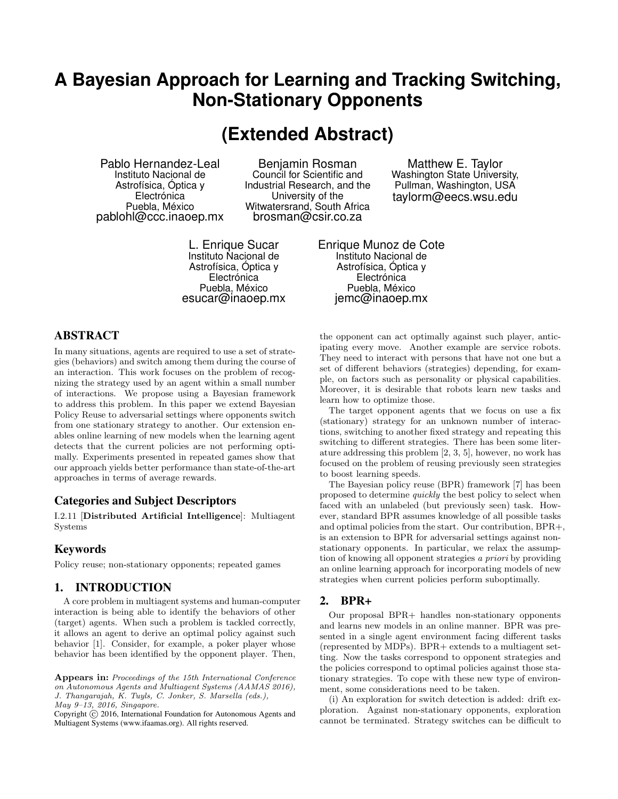## **A Bayesian Approach for Learning and Tracking Switching, Non-Stationary Opponents**

# **(Extended Abstract)**

Pablo Hernandez-Leal Instituto Nacional de Astrofísica, Óptica y Electrónica Puebla, México pablohl@ccc.inaoep.mx

Benjamin Rosman Council for Scientific and Industrial Research, and the University of the Witwatersrand, South Africa brosman@csir.co.za

L. Enrique Sucar Instituto Nacional de Astrofísica, Óptica y Electrónica Puebla, México esucar@inaoep.mx

Matthew E. Taylor Washington State University, Pullman, Washington, USA taylorm@eecs.wsu.edu

Enrique Munoz de Cote Instituto Nacional de Astrofísica, Óptica y Electrónica Puebla, México jemc@inaoep.mx

## ABSTRACT

In many situations, agents are required to use a set of strategies (behaviors) and switch among them during the course of an interaction. This work focuses on the problem of recognizing the strategy used by an agent within a small number of interactions. We propose using a Bayesian framework to address this problem. In this paper we extend Bayesian Policy Reuse to adversarial settings where opponents switch from one stationary strategy to another. Our extension enables online learning of new models when the learning agent detects that the current policies are not performing optimally. Experiments presented in repeated games show that our approach yields better performance than state-of-the-art approaches in terms of average rewards.

## Categories and Subject Descriptors

I.2.11 [Distributed Artificial Intelligence]: Multiagent Systems

### Keywords

Policy reuse; non-stationary opponents; repeated games

## 1. INTRODUCTION

A core problem in multiagent systems and human-computer interaction is being able to identify the behaviors of other (target) agents. When such a problem is tackled correctly, it allows an agent to derive an optimal policy against such behavior [1]. Consider, for example, a poker player whose behavior has been identified by the opponent player. Then,

Appears in: Proceedings of the 15th International Conference on Autonomous Agents and Multiagent Systems (AAMAS 2016), J. Thangarajah, K. Tuyls, C. Jonker, S. Marsella (eds.), May 9–13, 2016, Singapore.

Copyright (C) 2016, International Foundation for Autonomous Agents and Multiagent Systems (www.ifaamas.org). All rights reserved.

the opponent can act optimally against such player, anticipating every move. Another example are service robots. They need to interact with persons that have not one but a set of different behaviors (strategies) depending, for example, on factors such as personality or physical capabilities. Moreover, it is desirable that robots learn new tasks and learn how to optimize those.

The target opponent agents that we focus on use a fix (stationary) strategy for an unknown number of interactions, switching to another fixed strategy and repeating this switching to different strategies. There has been some literature addressing this problem [2, 3, 5], however, no work has focused on the problem of reusing previously seen strategies to boost learning speeds.

The Bayesian policy reuse (BPR) framework [7] has been proposed to determine quickly the best policy to select when faced with an unlabeled (but previously seen) task. However, standard BPR assumes knowledge of all possible tasks and optimal policies from the start. Our contribution, BPR+, is an extension to BPR for adversarial settings against nonstationary opponents. In particular, we relax the assumption of knowing all opponent strategies a priori by providing an online learning approach for incorporating models of new strategies when current policies perform suboptimally.

#### 2. BPR+

Our proposal BPR+ handles non-stationary opponents and learns new models in an online manner. BPR was presented in a single agent environment facing different tasks (represented by MDPs). BPR+ extends to a multiagent setting. Now the tasks correspond to opponent strategies and the policies correspond to optimal policies against those stationary strategies. To cope with these new type of environment, some considerations need to be taken.

(i) An exploration for switch detection is added: drift exploration. Against non-stationary opponents, exploration cannot be terminated. Strategy switches can be difficult to